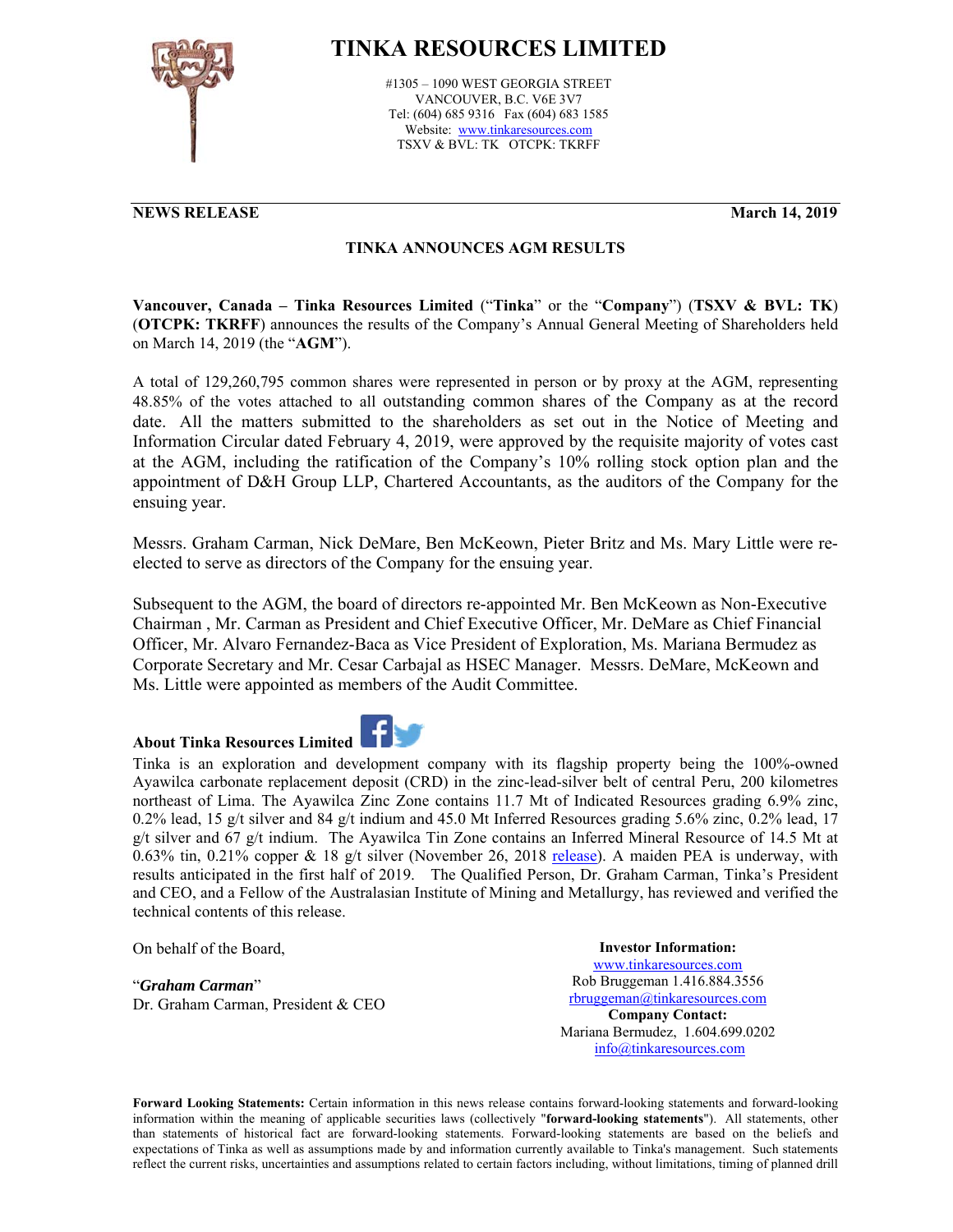

## **TINKA RESOURCES LIMITED**

#1305 – 1090 WEST GEORGIA STREET VANCOUVER, B.C. V6E 3V7 Tel: (604) 685 9316 Fax (604) 683 1585 Website: www.tinkaresources.com TSXV & BVL: TK OTCPK: TKRFF

## **NEWS RELEASE March 14, 2019**

## **TINKA ANNOUNCES AGM RESULTS**

**Vancouver, Canada – Tinka Resources Limited** ("**Tinka**" or the "**Company**") (**TSXV & BVL: TK**) (**OTCPK: TKRFF**) announces the results of the Company's Annual General Meeting of Shareholders held on March 14, 2019 (the "**AGM**").

A total of 129,260,795 common shares were represented in person or by proxy at the AGM, representing 48.85% of the votes attached to all outstanding common shares of the Company as at the record date. All the matters submitted to the shareholders as set out in the Notice of Meeting and Information Circular dated February 4, 2019, were approved by the requisite majority of votes cast at the AGM, including the ratification of the Company's 10% rolling stock option plan and the appointment of D&H Group LLP, Chartered Accountants, as the auditors of the Company for the ensuing year.

Messrs. Graham Carman, Nick DeMare, Ben McKeown, Pieter Britz and Ms. Mary Little were reelected to serve as directors of the Company for the ensuing year.

Subsequent to the AGM, the board of directors re-appointed Mr. Ben McKeown as Non-Executive Chairman , Mr. Carman as President and Chief Executive Officer, Mr. DeMare as Chief Financial Officer, Mr. Alvaro Fernandez-Baca as Vice President of Exploration, Ms. Mariana Bermudez as Corporate Secretary and Mr. Cesar Carbajal as HSEC Manager. Messrs. DeMare, McKeown and Ms. Little were appointed as members of the Audit Committee.

## **About Tinka Resources Limited**



Tinka is an exploration and development company with its flagship property being the 100%-owned Ayawilca carbonate replacement deposit (CRD) in the zinc-lead-silver belt of central Peru, 200 kilometres northeast of Lima. The Ayawilca Zinc Zone contains 11.7 Mt of Indicated Resources grading 6.9% zinc, 0.2% lead, 15 g/t silver and 84 g/t indium and 45.0 Mt Inferred Resources grading 5.6% zinc, 0.2% lead, 17 g/t silver and 67 g/t indium. The Ayawilca Tin Zone contains an Inferred Mineral Resource of 14.5 Mt at 0.63% tin, 0.21% copper & 18 g/t silver (November 26, 2018 release). A maiden PEA is underway, with results anticipated in the first half of 2019. The Qualified Person, Dr. Graham Carman, Tinka's President and CEO, and a Fellow of the Australasian Institute of Mining and Metallurgy, has reviewed and verified the technical contents of this release.

On behalf of the Board,

"*Graham Carman*" Dr. Graham Carman, President & CEO

**Investor Information:**  www.tinkaresources.com Rob Bruggeman 1.416.884.3556 rbruggeman@tinkaresources.com **Company Contact:** Mariana Bermudez, 1.604.699.0202 info@tinkaresources.com

**Forward Looking Statements:** Certain information in this news release contains forward-looking statements and forward-looking information within the meaning of applicable securities laws (collectively "**forward-looking statements**"). All statements, other than statements of historical fact are forward-looking statements. Forward-looking statements are based on the beliefs and expectations of Tinka as well as assumptions made by and information currently available to Tinka's management. Such statements reflect the current risks, uncertainties and assumptions related to certain factors including, without limitations, timing of planned drill